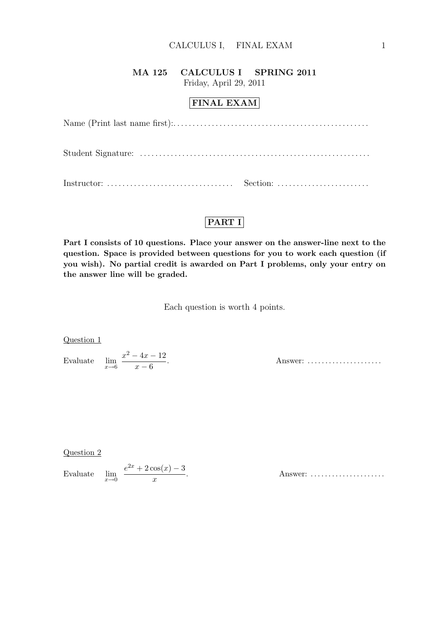### MA 125 CALCULUS I SPRING 2011 Friday, April 29, 2011

## FINAL EXAM

## PART I

Part I consists of 10 questions. Place your answer on the answer-line next to the question. Space is provided between questions for you to work each question (if you wish). No partial credit is awarded on Part I problems, only your entry on the answer line will be graded.

Each question is worth 4 points.

Question 1

Evaluate  $\lim_{x\to 6}$  $x^2 - 4x - 12$  $x - 6$ 

Answer: ......................

Question 2

Evaluate  $\lim_{x\to 0}$  $e^{2x} + 2\cos(x) - 3$  $\boldsymbol{x}$ 

. Answer: . . . . . . . . . . . . . . . . . . . . .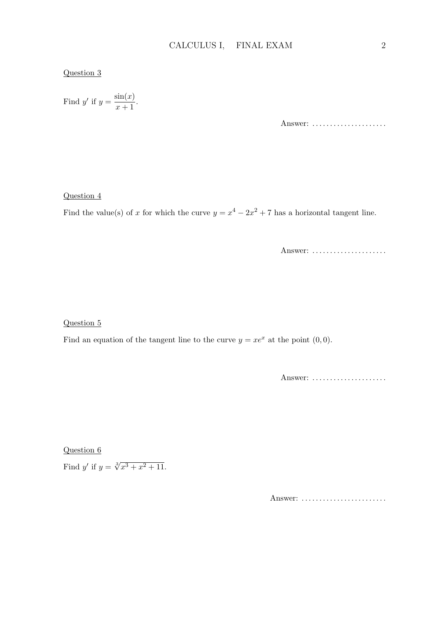### Question 3

Find y' if 
$$
y = \frac{\sin(x)}{x+1}
$$
.

Answer: ......................

#### Question 4

Find the value(s) of x for which the curve  $y = x^4 - 2x^2 + 7$  has a horizontal tangent line.

Answer: .....................

Question 5

Find an equation of the tangent line to the curve  $y = xe^x$  at the point  $(0, 0)$ .

Answer: .....................

Question 6

Find y' if  $y = \sqrt[3]{x^3 + x^2 + 11}$ .

Answer: ..........................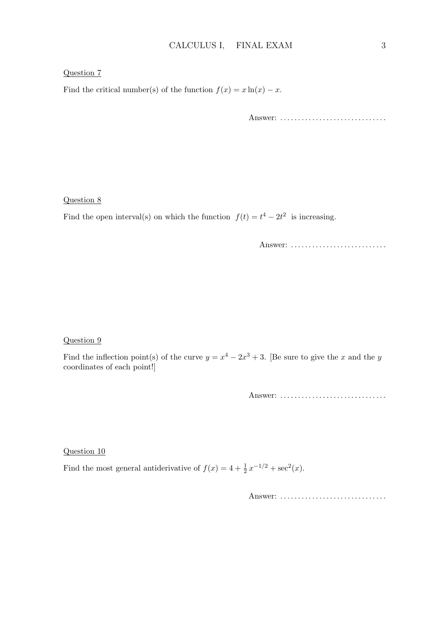#### Question 7

Find the critical number(s) of the function  $f(x) = x \ln(x) - x$ .

Answer: ...................................

#### Question 8

Find the open interval(s) on which the function  $f(t) = t^4 - 2t^2$  is increasing.

Answer: .............................

#### Question 9

Find the inflection point(s) of the curve  $y = x^4 - 2x^3 + 3$ . [Be sure to give the x and the y coordinates of each point!]

Answer: . . . . . . . . . . . . . . . . . . . . . . . . . . . . . .

Question 10

Find the most general antiderivative of  $f(x) = 4 + \frac{1}{2}x^{-1/2} + \sec^2(x)$ .

Answer: ...................................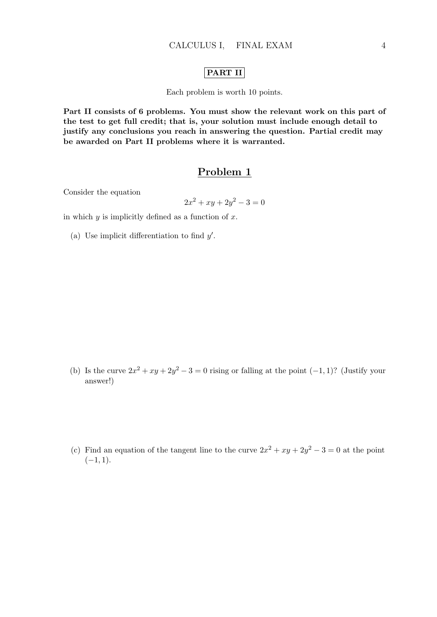### PART II

Each problem is worth 10 points.

Part II consists of 6 problems. You must show the relevant work on this part of the test to get full credit; that is, your solution must include enough detail to justify any conclusions you reach in answering the question. Partial credit may be awarded on Part II problems where it is warranted.

## Problem 1

Consider the equation

$$
2x^2 + xy + 2y^2 - 3 = 0
$$

in which  $y$  is implicitly defined as a function of  $x$ .

(a) Use implicit differentiation to find  $y'$ .

- (b) Is the curve  $2x^2 + xy + 2y^2 3 = 0$  rising or falling at the point  $(-1, 1)$ ? (Justify your answer!)
- (c) Find an equation of the tangent line to the curve  $2x^2 + xy + 2y^2 3 = 0$  at the point  $(-1, 1).$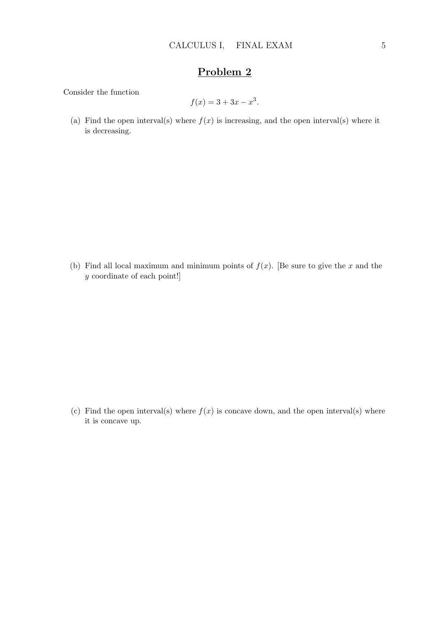Consider the function

$$
f(x) = 3 + 3x - x^3.
$$

(a) Find the open interval(s) where  $f(x)$  is increasing, and the open interval(s) where it is decreasing.

(b) Find all local maximum and minimum points of  $f(x)$ . [Be sure to give the x and the y coordinate of each point!]

(c) Find the open interval(s) where  $f(x)$  is concave down, and the open interval(s) where it is concave up.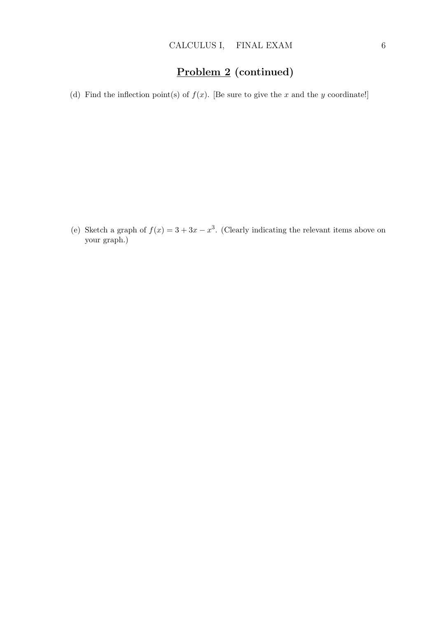# Problem 2 (continued)

(d) Find the inflection point(s) of  $f(x)$ . [Be sure to give the x and the y coordinate!]

(e) Sketch a graph of  $f(x) = 3 + 3x - x^3$ . (Clearly indicating the relevant items above on your graph.)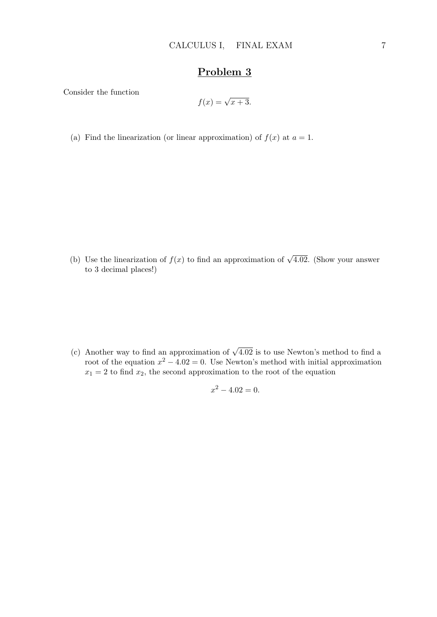Consider the function

$$
f(x) = \sqrt{x+3}.
$$

(a) Find the linearization (or linear approximation) of  $f(x)$  at  $a = 1$ .

(b) Use the linearization of  $f(x)$  to find an approximation of  $\sqrt{4.02}$ . (Show your answer to 3 decimal places!)

(c) Another way to find an approximation of  $\sqrt{4.02}$  is to use Newton's method to find a root of the equation  $x^2 - 4.02 = 0$ . Use Newton's method with initial approximation  $x_1 = 2$  to find  $x_2$ , the second approximation to the root of the equation

$$
x^2 - 4.02 = 0.
$$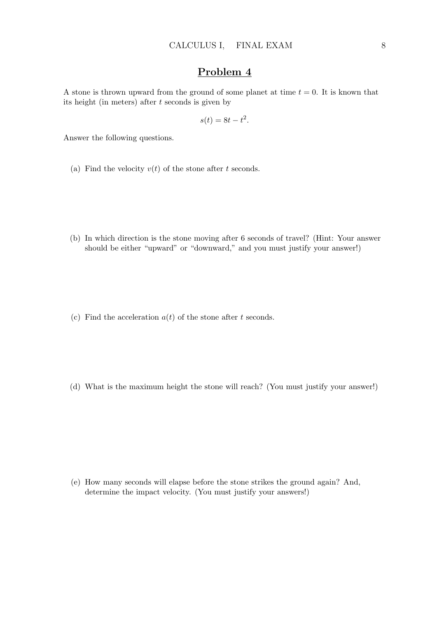A stone is thrown upward from the ground of some planet at time  $t = 0$ . It is known that its height (in meters) after  $t$  seconds is given by

$$
s(t) = 8t - t^2.
$$

Answer the following questions.

- (a) Find the velocity  $v(t)$  of the stone after t seconds.
- (b) In which direction is the stone moving after 6 seconds of travel? (Hint: Your answer should be either "upward" or "downward," and you must justify your answer!)
- (c) Find the acceleration  $a(t)$  of the stone after t seconds.
- (d) What is the maximum height the stone will reach? (You must justify your answer!)

(e) How many seconds will elapse before the stone strikes the ground again? And, determine the impact velocity. (You must justify your answers!)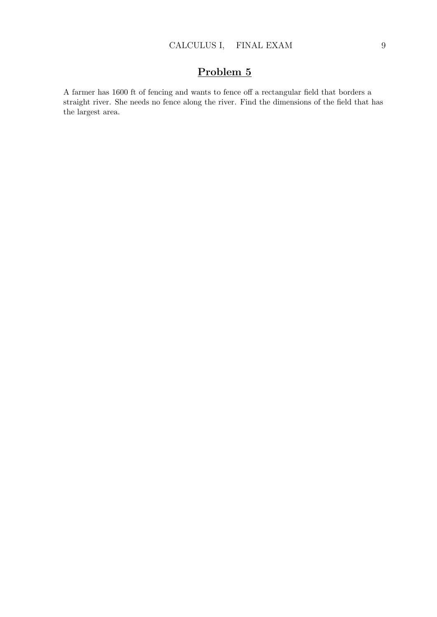A farmer has 1600 ft of fencing and wants to fence off a rectangular field that borders a straight river. She needs no fence along the river. Find the dimensions of the field that has the largest area.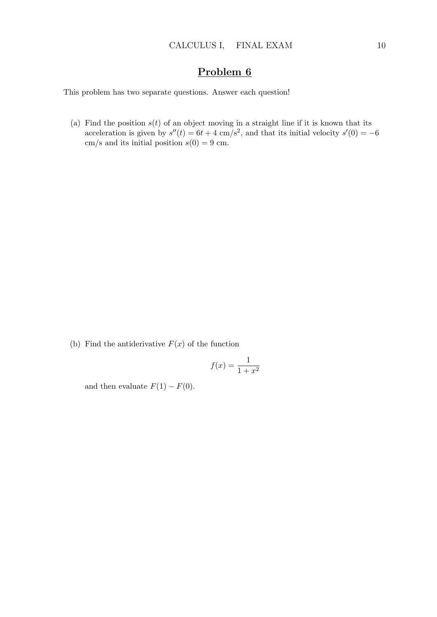This problem has two separate questions. Answer each question!

(a) Find the position  $s(t)$  of an object moving in a straight line if it is known that its acceleration is given by  $s''(t) = 6t + 4$  cm/s<sup>2</sup>, and that its initial velocity  $s'(0) = -6$ cm/s and its initial position  $s(0) = 9$  cm.

(b) Find the antiderivative  $F(x)$  of the function

$$
f(x) = \frac{1}{1+x^2}
$$

and then evaluate  $F(1) - F(0)$ .